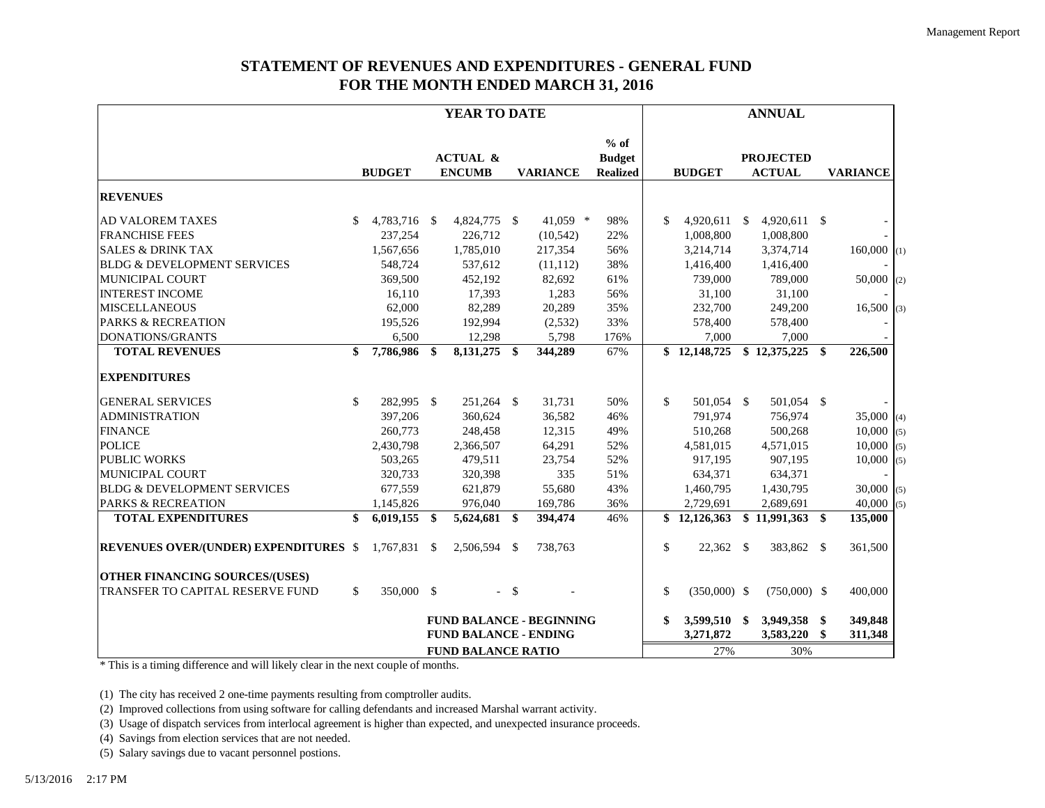## **STATEMENT OF REVENUES AND EXPENDITURES - GENERAL FUND FOR THE MONTH ENDED MARCH 31, 2016**

|                                              |              |                              |     | YEAR TO DATE                         |     |                                 |                                            |               |                | <b>ANNUAL</b>                     |      |                 |     |
|----------------------------------------------|--------------|------------------------------|-----|--------------------------------------|-----|---------------------------------|--------------------------------------------|---------------|----------------|-----------------------------------|------|-----------------|-----|
|                                              |              | <b>BUDGET</b>                |     | <b>ACTUAL &amp;</b><br><b>ENCUMB</b> |     | <b>VARIANCE</b>                 | $%$ of<br><b>Budget</b><br><b>Realized</b> |               | <b>BUDGET</b>  | <b>PROJECTED</b><br><b>ACTUAL</b> |      | <b>VARIANCE</b> |     |
| <b>REVENUES</b>                              |              |                              |     |                                      |     |                                 |                                            |               |                |                                   |      |                 |     |
| <b>AD VALOREM TAXES</b>                      | S.           | 4,783,716 \$                 |     | 4,824,775 \$                         |     | 41,059 *                        | 98%                                        | \$            | 4,920,611 \$   | $4,920,611$ \$                    |      |                 |     |
| <b>FRANCHISE FEES</b>                        |              | 237,254                      |     | 226,712                              |     | (10, 542)                       | 22%                                        |               | 1,008,800      | 1,008,800                         |      |                 |     |
| <b>SALES &amp; DRINK TAX</b>                 |              | 1,567,656                    |     | 1,785,010                            |     | 217,354                         | 56%                                        |               | 3,214,714      | 3,374,714                         |      | $160,000$ (1)   |     |
| <b>BLDG &amp; DEVELOPMENT SERVICES</b>       |              | 548,724                      |     | 537,612                              |     | (11, 112)                       | 38%                                        |               | 1,416,400      | 1,416,400                         |      |                 |     |
| <b>MUNICIPAL COURT</b>                       |              | 369,500                      |     | 452,192                              |     | 82,692                          | 61%                                        |               | 739,000        | 789,000                           |      | $50,000$ (2)    |     |
| <b>INTEREST INCOME</b>                       |              | 16,110                       |     | 17,393                               |     | 1,283                           | 56%                                        |               | 31,100         | 31,100                            |      |                 |     |
| <b>MISCELLANEOUS</b>                         |              | 62,000                       |     | 82,289                               |     | 20,289                          | 35%                                        |               | 232,700        | 249,200                           |      | $16,500$ (3)    |     |
| <b>PARKS &amp; RECREATION</b>                |              | 195,526                      |     | 192,994                              |     | (2,532)                         | 33%                                        |               | 578,400        | 578,400                           |      |                 |     |
| DONATIONS/GRANTS                             |              | 6,500                        |     | 12,298                               |     | 5,798                           | 176%                                       |               | 7,000          | 7,000                             |      |                 |     |
| <b>TOTAL REVENUES</b>                        | \$           | 7,786,986                    | \$  | 8, 131, 275 \$                       |     | 344,289                         | 67%                                        |               | \$12,148,725   | \$12,375,225                      | \$.  | 226,500         |     |
| <b>EXPENDITURES</b>                          |              |                              |     |                                      |     |                                 |                                            |               |                |                                   |      |                 |     |
| <b>GENERAL SERVICES</b>                      | \$.          | 282,995 \$                   |     | 251,264 \$                           |     | 31,731                          | 50%                                        | $\mathcal{S}$ | 501,054 \$     | 501,054 \$                        |      |                 |     |
| <b>ADMINISTRATION</b>                        |              | 397,206                      |     | 360,624                              |     | 36,582                          | 46%                                        |               | 791,974        | 756,974                           |      | $35,000$ (4)    |     |
| <b>FINANCE</b>                               |              | 260,773                      |     | 248,458                              |     | 12,315                          | 49%                                        |               | 510,268        | 500,268                           |      | 10,000          | (5) |
| <b>POLICE</b>                                |              | 2,430,798                    |     | 2,366,507                            |     | 64,291                          | 52%                                        |               | 4,581,015      | 4,571,015                         |      | 10,000          | (5) |
| <b>PUBLIC WORKS</b>                          |              | 503,265                      |     | 479,511                              |     | 23,754                          | 52%                                        |               | 917,195        | 907,195                           |      | 10,000          | (5) |
| MUNICIPAL COURT                              |              | 320,733                      |     | 320,398                              |     | 335                             | 51%                                        |               | 634,371        | 634,371                           |      |                 |     |
| <b>BLDG &amp; DEVELOPMENT SERVICES</b>       |              | 677,559                      |     | 621,879                              |     | 55,680                          | 43%                                        |               | 1,460,795      | 1,430,795                         |      | $30,000$ (5)    |     |
| <b>PARKS &amp; RECREATION</b>                |              | 1,145,826                    |     | 976,040                              |     | 169,786                         | 36%                                        |               | 2,729,691      | 2,689,691                         |      | 40,000          | (5) |
| <b>TOTAL EXPENDITURES</b>                    | \$           | 6,019,155                    | -\$ | 5,624,681 \$                         |     | 394,474                         | 46%                                        |               | \$12,126,363   | \$11,991,363                      | - \$ | 135,000         |     |
| <b>REVENUES OVER/(UNDER) EXPENDITURES \$</b> |              | 1,767,831 \$                 |     | 2,506,594 \$                         |     | 738,763                         |                                            | \$            | $22,362$ \$    | 383,862 \$                        |      | 361,500         |     |
| <b>OTHER FINANCING SOURCES/(USES)</b>        |              |                              |     |                                      |     |                                 |                                            |               |                |                                   |      |                 |     |
| TRANSFER TO CAPITAL RESERVE FUND             | $\mathbb{S}$ | 350,000 \$                   |     | $\equiv$                             | -\$ |                                 |                                            | $\mathcal{S}$ | $(350,000)$ \$ | $(750,000)$ \$                    |      | 400,000         |     |
|                                              |              |                              |     |                                      |     | <b>FUND BALANCE - BEGINNING</b> |                                            | \$            | 3,599,510 \$   | 3,949,358 \$                      |      | 349,848         |     |
|                                              |              | <b>FUND BALANCE - ENDING</b> |     |                                      |     |                                 |                                            |               | 3,271,872      | 3,583,220                         | \$   | 311,348         |     |
|                                              |              | <b>FUND BALANCE RATIO</b>    |     |                                      |     |                                 |                                            |               | 27%            | 30%                               |      |                 |     |

\* This is a timing difference and will likely clear in the next couple of months.

(1) The city has received 2 one-time payments resulting from comptroller audits.

(2) Improved collections from using software for calling defendants and increased Marshal warrant activity.

(3) Usage of dispatch services from interlocal agreement is higher than expected, and unexpected insurance proceeds.

(4) Savings from election services that are not needed.

(5) Salary savings due to vacant personnel postions.